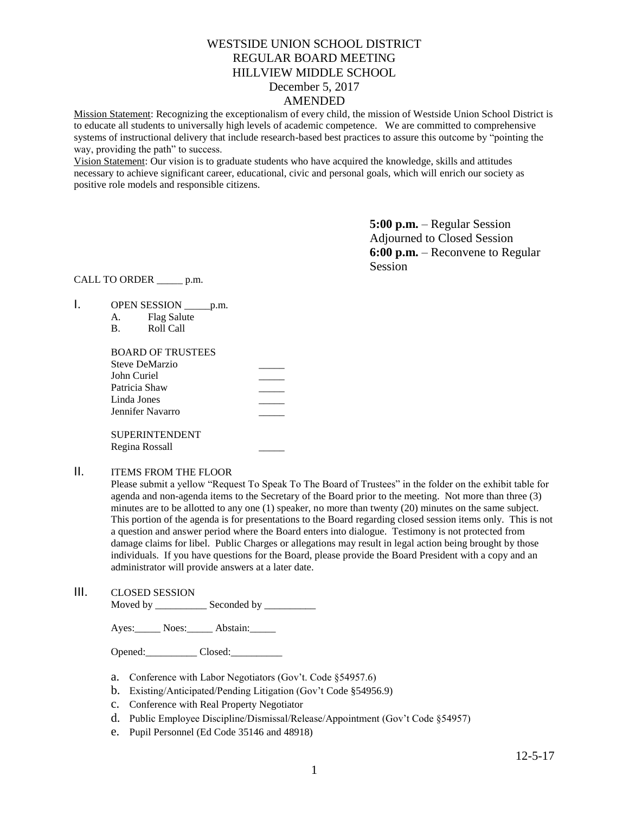# WESTSIDE UNION SCHOOL DISTRICT REGULAR BOARD MEETING HILLVIEW MIDDLE SCHOOL December 5, 2017 AMENDED

Mission Statement: Recognizing the exceptionalism of every child, the mission of Westside Union School District is to educate all students to universally high levels of academic competence. We are committed to comprehensive systems of instructional delivery that include research-based best practices to assure this outcome by "pointing the way, providing the path" to success.

Vision Statement: Our vision is to graduate students who have acquired the knowledge, skills and attitudes necessary to achieve significant career, educational, civic and personal goals, which will enrich our society as positive role models and responsible citizens.

> **5:00 p.m.** – Regular Session Adjourned to Closed Session **6:00 p.m.** – Reconvene to Regular Session

CALL TO ORDER \_\_\_\_\_ p.m.

- 1. OPEN SESSION \_\_\_\_\_\_\_ p.m.
	- A. Flag Salute

| В. | Roll Call |
|----|-----------|
|    |           |

| <b>BOARD OF TRUSTEES</b> |  |
|--------------------------|--|
| Steve DeMarzio           |  |
| John Curiel              |  |
| Patricia Shaw            |  |
| Linda Jones              |  |
| Jennifer Navarro         |  |
| <b>SUPERINTENDENT</b>    |  |
| Regina Rossall           |  |

# II. ITEMS FROM THE FLOOR

Please submit a yellow "Request To Speak To The Board of Trustees" in the folder on the exhibit table for agenda and non-agenda items to the Secretary of the Board prior to the meeting. Not more than three (3) minutes are to be allotted to any one (1) speaker, no more than twenty (20) minutes on the same subject. This portion of the agenda is for presentations to the Board regarding closed session items only. This is not a question and answer period where the Board enters into dialogue. Testimony is not protected from damage claims for libel. Public Charges or allegations may result in legal action being brought by those individuals. If you have questions for the Board, please provide the Board President with a copy and an administrator will provide answers at a later date.

III. CLOSED SESSION

Moved by \_\_\_\_\_\_\_\_\_\_\_\_\_ Seconded by \_\_\_\_\_\_\_\_\_\_\_

Ayes: Noes: Abstain:

Opened: Closed:

- a. Conference with Labor Negotiators (Gov't. Code §54957.6)
- b. Existing/Anticipated/Pending Litigation (Gov't Code §54956.9)
- c. Conference with Real Property Negotiator
- d. Public Employee Discipline/Dismissal/Release/Appointment (Gov't Code §54957)
- e. Pupil Personnel (Ed Code 35146 and 48918)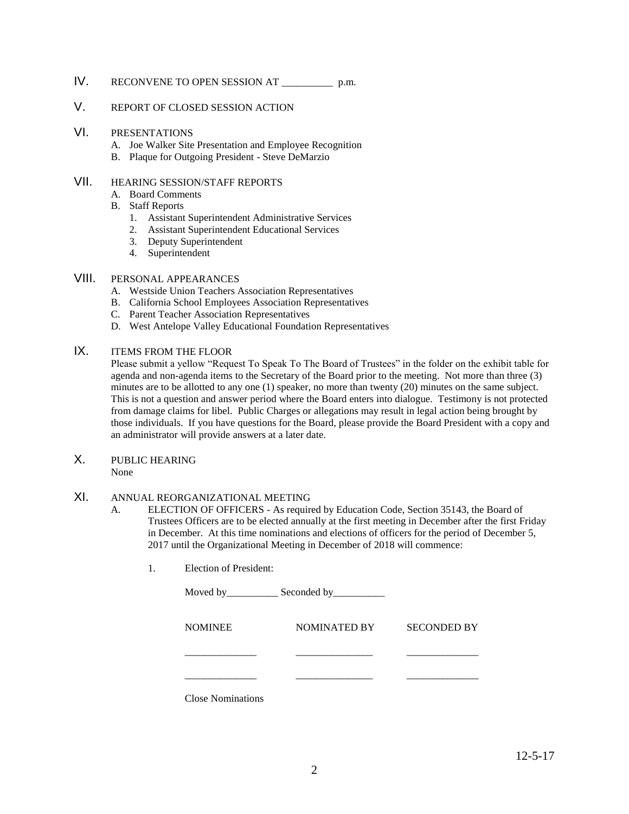# IV. RECONVENE TO OPEN SESSION AT \_\_\_\_\_\_\_\_\_\_ p.m.

### V. REPORT OF CLOSED SESSION ACTION

### VI. PRESENTATIONS

- A. Joe Walker Site Presentation and Employee Recognition
- B. Plaque for Outgoing President Steve DeMarzio

# VII. HEARING SESSION/STAFF REPORTS

- A. Board Comments
- B. Staff Reports
	- 1. Assistant Superintendent Administrative Services
	- 2. Assistant Superintendent Educational Services
	- 3. Deputy Superintendent
	- 4. Superintendent

### VIII. PERSONAL APPEARANCES

- A. Westside Union Teachers Association Representatives
- B. California School Employees Association Representatives
- C. Parent Teacher Association Representatives
- D. West Antelope Valley Educational Foundation Representatives

## IX. ITEMS FROM THE FLOOR

Please submit a yellow "Request To Speak To The Board of Trustees" in the folder on the exhibit table for agenda and non-agenda items to the Secretary of the Board prior to the meeting. Not more than three (3) minutes are to be allotted to any one (1) speaker, no more than twenty (20) minutes on the same subject. This is not a question and answer period where the Board enters into dialogue. Testimony is not protected from damage claims for libel. Public Charges or allegations may result in legal action being brought by those individuals. If you have questions for the Board, please provide the Board President with a copy and an administrator will provide answers at a later date.

X. PUBLIC HEARING

None

#### XI. ANNUAL REORGANIZATIONAL MEETING

- A. ELECTION OF OFFICERS As required by Education Code, Section 35143, the Board of Trustees Officers are to be elected annually at the first meeting in December after the first Friday in December. At this time nominations and elections of officers for the period of December 5, 2017 until the Organizational Meeting in December of 2018 will commence:
	- 1. Election of President:

|                          | Moved by Seconded by |                    |
|--------------------------|----------------------|--------------------|
| <b>NOMINEE</b>           | NOMINATED BY         | <b>SECONDED BY</b> |
|                          |                      |                    |
|                          |                      |                    |
| <b>Close Nominations</b> |                      |                    |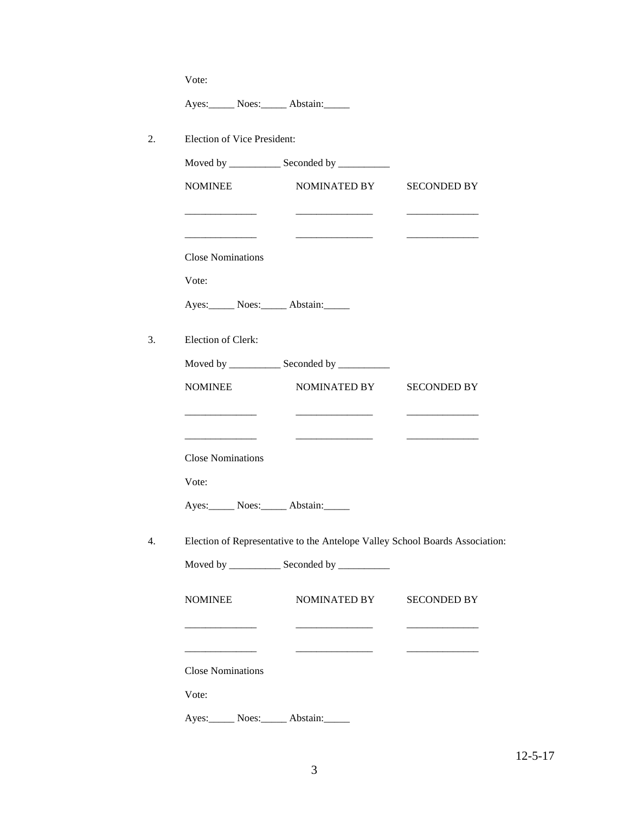Ayes: Noes: Abstain:

2. Election of Vice President:

| <b>NOMINEE</b><br>NOMINATED BY<br><b>SECONDED BY</b><br><b>Close Nominations</b><br>Vote:<br>Ayes: Noes: Abstain:<br>Moved by _____________ Seconded by __________<br><b>NOMINEE</b><br>NOMINATED BY<br><b>SECONDED BY</b><br><b>Close Nominations</b><br>Vote:<br>Ayes: Noes: Abstain:<br>Election of Representative to the Antelope Valley School Boards Association:<br>Moved by _______________ Seconded by ____________<br>NOMINATED BY SECONDED BY<br><b>NOMINEE</b><br><b>Close Nominations</b> |  |
|--------------------------------------------------------------------------------------------------------------------------------------------------------------------------------------------------------------------------------------------------------------------------------------------------------------------------------------------------------------------------------------------------------------------------------------------------------------------------------------------------------|--|
| Election of Clerk:                                                                                                                                                                                                                                                                                                                                                                                                                                                                                     |  |
|                                                                                                                                                                                                                                                                                                                                                                                                                                                                                                        |  |
|                                                                                                                                                                                                                                                                                                                                                                                                                                                                                                        |  |
|                                                                                                                                                                                                                                                                                                                                                                                                                                                                                                        |  |
|                                                                                                                                                                                                                                                                                                                                                                                                                                                                                                        |  |
|                                                                                                                                                                                                                                                                                                                                                                                                                                                                                                        |  |
|                                                                                                                                                                                                                                                                                                                                                                                                                                                                                                        |  |
|                                                                                                                                                                                                                                                                                                                                                                                                                                                                                                        |  |
|                                                                                                                                                                                                                                                                                                                                                                                                                                                                                                        |  |
|                                                                                                                                                                                                                                                                                                                                                                                                                                                                                                        |  |
|                                                                                                                                                                                                                                                                                                                                                                                                                                                                                                        |  |
|                                                                                                                                                                                                                                                                                                                                                                                                                                                                                                        |  |
|                                                                                                                                                                                                                                                                                                                                                                                                                                                                                                        |  |
|                                                                                                                                                                                                                                                                                                                                                                                                                                                                                                        |  |
|                                                                                                                                                                                                                                                                                                                                                                                                                                                                                                        |  |
|                                                                                                                                                                                                                                                                                                                                                                                                                                                                                                        |  |
|                                                                                                                                                                                                                                                                                                                                                                                                                                                                                                        |  |
| Vote:                                                                                                                                                                                                                                                                                                                                                                                                                                                                                                  |  |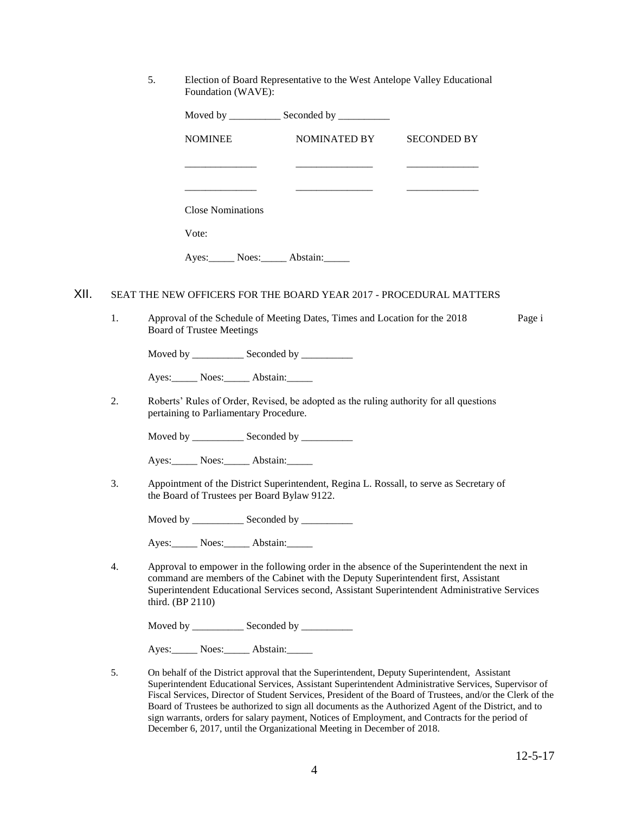5. Election of Board Representative to the West Antelope Valley Educational Foundation (WAVE):

|      |    |                                                                                                                                        | Moved by ______________ Seconded by ___________ |                                                                                                                                                                                             |        |
|------|----|----------------------------------------------------------------------------------------------------------------------------------------|-------------------------------------------------|---------------------------------------------------------------------------------------------------------------------------------------------------------------------------------------------|--------|
|      |    | <b>NOMINEE</b>                                                                                                                         | NOMINATED BY                                    | <b>SECONDED BY</b>                                                                                                                                                                          |        |
|      |    |                                                                                                                                        |                                                 |                                                                                                                                                                                             |        |
|      |    |                                                                                                                                        |                                                 |                                                                                                                                                                                             |        |
|      |    | <b>Close Nominations</b>                                                                                                               |                                                 |                                                                                                                                                                                             |        |
|      |    | Vote:                                                                                                                                  |                                                 |                                                                                                                                                                                             |        |
|      |    | Ayes: Noes: Abstain:                                                                                                                   |                                                 |                                                                                                                                                                                             |        |
| XII. |    | SEAT THE NEW OFFICERS FOR THE BOARD YEAR 2017 - PROCEDURAL MATTERS                                                                     |                                                 |                                                                                                                                                                                             |        |
|      | 1. | Approval of the Schedule of Meeting Dates, Times and Location for the 2018<br><b>Board of Trustee Meetings</b>                         |                                                 |                                                                                                                                                                                             | Page i |
|      |    | Moved by ______________ Seconded by ___________                                                                                        |                                                 |                                                                                                                                                                                             |        |
|      |    | Ayes: Noes: Abstain:                                                                                                                   |                                                 |                                                                                                                                                                                             |        |
|      | 2. | Roberts' Rules of Order, Revised, be adopted as the ruling authority for all questions<br>pertaining to Parliamentary Procedure.       |                                                 |                                                                                                                                                                                             |        |
|      |    | Moved by ______________ Seconded by ____________                                                                                       |                                                 |                                                                                                                                                                                             |        |
|      |    | Ayes: Noes: Abstain:                                                                                                                   |                                                 |                                                                                                                                                                                             |        |
|      | 3. | Appointment of the District Superintendent, Regina L. Rossall, to serve as Secretary of<br>the Board of Trustees per Board Bylaw 9122. |                                                 |                                                                                                                                                                                             |        |
|      |    |                                                                                                                                        |                                                 |                                                                                                                                                                                             |        |
|      |    | Ayes: Noes: Abstain:                                                                                                                   |                                                 |                                                                                                                                                                                             |        |
|      | 4. | command are members of the Cabinet with the Deputy Superintendent first, Assistant<br>third. (BP 2110)                                 |                                                 | Approval to empower in the following order in the absence of the Superintendent the next in<br>Superintendent Educational Services second, Assistant Superintendent Administrative Services |        |
|      |    | Moved by ______________ Seconded by ____________                                                                                       |                                                 |                                                                                                                                                                                             |        |
|      |    | Noes: Abstain:<br>Ayes:                                                                                                                |                                                 |                                                                                                                                                                                             |        |

5. On behalf of the District approval that the Superintendent, Deputy Superintendent, Assistant Superintendent Educational Services, Assistant Superintendent Administrative Services, Supervisor of Fiscal Services, Director of Student Services, President of the Board of Trustees, and/or the Clerk of the Board of Trustees be authorized to sign all documents as the Authorized Agent of the District, and to sign warrants, orders for salary payment, Notices of Employment, and Contracts for the period of December 6, 2017, until the Organizational Meeting in December of 2018.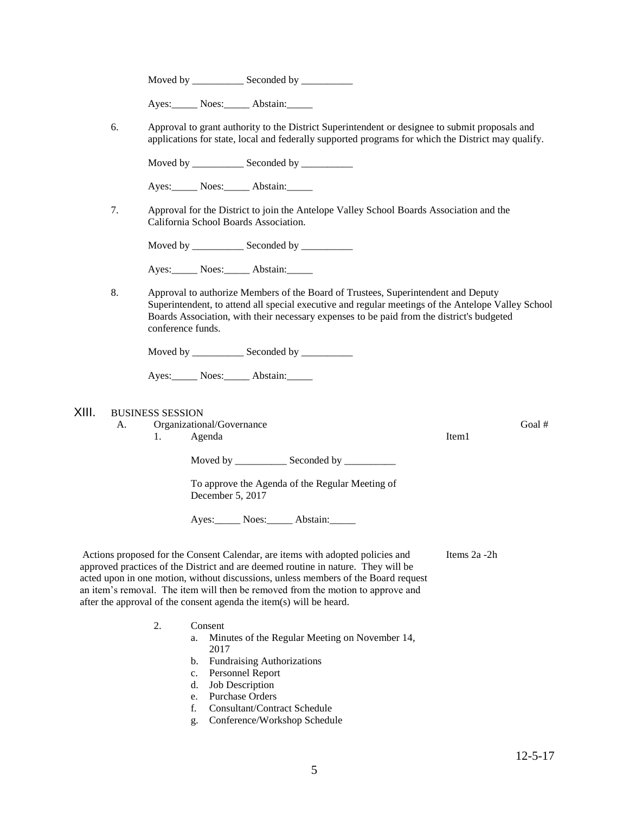Ayes: Noes: Abstain:

6. Approval to grant authority to the District Superintendent or designee to submit proposals and applications for state, local and federally supported programs for which the District may qualify.

Moved by \_\_\_\_\_\_\_\_\_\_\_\_\_ Seconded by \_\_\_\_\_\_\_\_\_\_\_

Ayes: Noes: Abstain:

7. Approval for the District to join the Antelope Valley School Boards Association and the California School Boards Association.

Moved by \_\_\_\_\_\_\_\_\_\_\_\_\_ Seconded by \_\_\_\_\_\_\_\_\_\_\_

Ayes: Noes: Abstain:

8. Approval to authorize Members of the Board of Trustees, Superintendent and Deputy Superintendent, to attend all special executive and regular meetings of the Antelope Valley School Boards Association, with their necessary expenses to be paid from the district's budgeted conference funds.

Moved by \_\_\_\_\_\_\_\_\_\_\_\_\_ Seconded by \_\_\_\_\_\_\_\_\_\_\_

Ayes: Noes: Abstain:

#### XIII. BUSINESS SESSION

A. Organizational/Governance Goal #

1. Agenda

Moved by \_\_\_\_\_\_\_\_\_\_ Seconded by \_\_\_\_\_\_\_\_\_\_

To approve the Agenda of the Regular Meeting of December 5, 2017

Ayes: Noes: Abstain:

Actions proposed for the Consent Calendar, are items with adopted policies and approved practices of the District and are deemed routine in nature. They will be acted upon in one motion, without discussions, unless members of the Board request an item's removal. The item will then be removed from the motion to approve and after the approval of the consent agenda the item(s) will be heard. Items 2a -2h

- 2. Consent
	- a. Minutes of the Regular Meeting on November 14, 2017
	- b. Fundraising Authorizations
	- c. Personnel Report
	- d. Job Description
	- e. Purchase Orders
	- f. Consultant/Contract Schedule
	- g. Conference/Workshop Schedule

Item1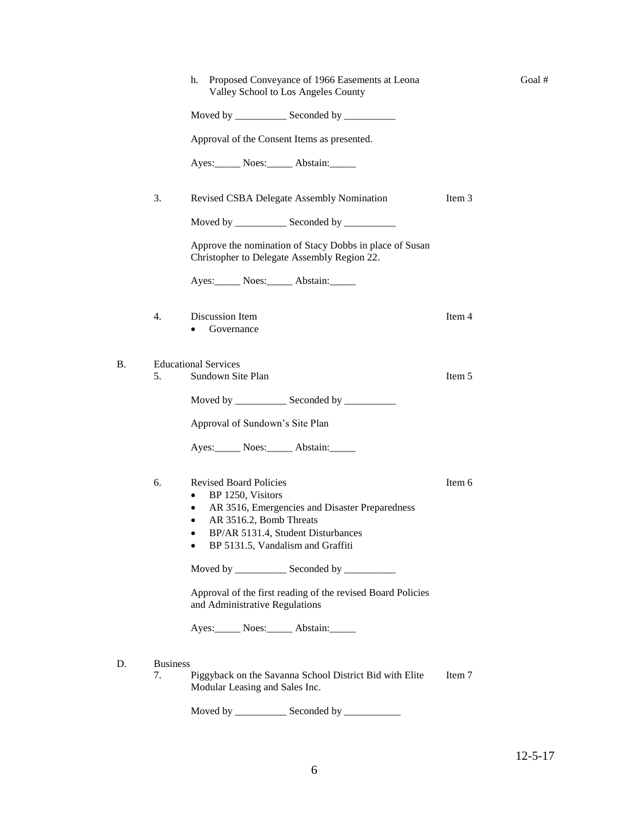|                 | Proposed Conveyance of 1966 Easements at Leona<br>h.<br>Valley School to Los Angeles County            |        |
|-----------------|--------------------------------------------------------------------------------------------------------|--------|
|                 | Moved by _______________ Seconded by ____________                                                      |        |
|                 | Approval of the Consent Items as presented.                                                            |        |
|                 | Ayes: Noes: Abstain:                                                                                   |        |
| 3.              | Revised CSBA Delegate Assembly Nomination                                                              | Item 3 |
|                 | Moved by _____________ Seconded by ___________                                                         |        |
|                 | Approve the nomination of Stacy Dobbs in place of Susan<br>Christopher to Delegate Assembly Region 22. |        |
|                 | Ayes: Noes: Abstain:                                                                                   |        |
| 4.              | Discussion Item<br>Governance                                                                          | Item 4 |
| 5.              | <b>Educational Services</b><br>Sundown Site Plan                                                       | Item 5 |
|                 | Moved by ______________ Seconded by _________                                                          |        |
|                 | Approval of Sundown's Site Plan                                                                        |        |
|                 | Ayes: Noes: Abstain:                                                                                   |        |
| 6.              | <b>Revised Board Policies</b>                                                                          | Item 6 |
|                 | BP 1250, Visitors<br>$\bullet$<br>AR 3516, Emergencies and Disaster Preparedness                       |        |
|                 | AR 3516.2, Bomb Threats                                                                                |        |
|                 | BP/AR 5131.4, Student Disturbances                                                                     |        |
|                 | BP 5131.5, Vandalism and Graffiti                                                                      |        |
|                 | Moved by _______________ Seconded by ____________                                                      |        |
|                 | Approval of the first reading of the revised Board Policies<br>and Administrative Regulations          |        |
|                 | Ayes: Noes: Abstain:                                                                                   |        |
|                 |                                                                                                        |        |
| <b>Business</b> |                                                                                                        |        |
| 7.              | Piggyback on the Savanna School District Bid with Elite<br>Modular Leasing and Sales Inc.              | Item 7 |

Goal #

 $D.$